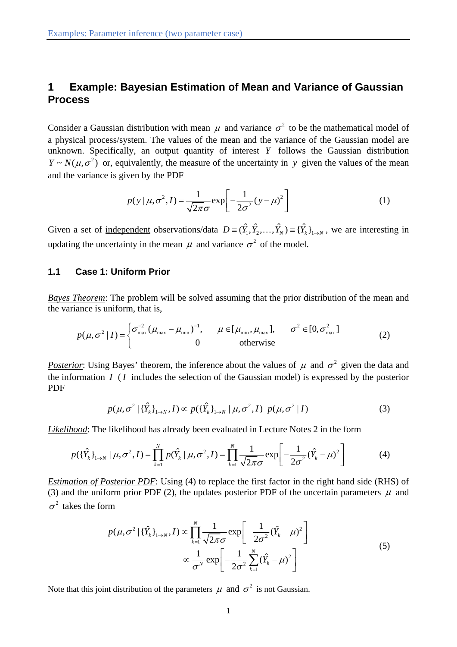# **1 Example: Bayesian Estimation of Mean and Variance of Gaussian Process**

Consider a Gaussian distribution with mean  $\mu$  and variance  $\sigma^2$  to be the mathematical model of a physical process/system. The values of the mean and the variance of the Gaussian model are unknown. Specifically, an output quantity of interest *Y* follows the Gaussian distribution  $Y \sim N(\mu, \sigma^2)$  or, equivalently, the measure of the uncertainty in *y* given the values of the mean and the variance is given by the PDF

$$
p(y | \mu, \sigma^2, I) = \frac{1}{\sqrt{2\pi}\sigma} \exp\left[-\frac{1}{2\sigma^2}(y - \mu)^2\right]
$$
 (1)

Given a set of <u>independent</u> observations/data  $D = (\hat{Y}_1, \hat{Y}_2, ..., \hat{Y}_N) = {\{\hat{Y}_k\}}_{1 \to N}$ , we are interesting in updating the uncertainty in the mean  $\mu$  and variance  $\sigma^2$  of the model.

## **1.1 Case 1: Uniform Prior**

*Bayes Theorem*: The problem will be solved assuming that the prior distribution of the mean and the variance is uniform, that is,

$$
p(\mu, \sigma^2 | I) = \begin{cases} \sigma_{\max}^{-2} (\mu_{\max} - \mu_{\min})^{-1}, & \mu \in [\mu_{\min}, \mu_{\max}], & \sigma^2 \in [0, \sigma_{\max}^2] \\ 0 & \text{otherwise} \end{cases}
$$
 (2)

*Posterior*: Using Bayes' theorem, the inference about the values of  $\mu$  and  $\sigma^2$  given the data and the information *I* ( *I* includes the selection of the Gaussian model) is expressed by the posterior PDF

$$
p(\mu, \sigma^2 | {\{\hat{Y}_k\}}_{1 \to N}, I) \propto p({\{\hat{Y}_k\}}_{1 \to N} | \mu, \sigma^2, I) p(\mu, \sigma^2 | I)
$$
 (3)

*Likelihood*: The likelihood has already been evaluated in Lecture Notes 2 in the form

$$
p(\{\hat{Y}_k\}_{1\to N} \mid \mu, \sigma^2, I) = \prod_{k=1}^N p(\hat{Y}_k \mid \mu, \sigma^2, I) = \prod_{k=1}^N \frac{1}{\sqrt{2\pi}\sigma} \exp\left[-\frac{1}{2\sigma^2} (\hat{Y}_k - \mu)^2\right]
$$
(4)

*Estimation of Posterior PDF*: Using (4) to replace the first factor in the right hand side (RHS) of (3) and the uniform prior PDF (2), the updates posterior PDF of the uncertain parameters  $\mu$  and  $\sigma^2$  takes the form

$$
p(\mu, \sigma^2 | {\{\hat{Y}_k\}}_{1 \to N}, I) \propto \prod_{k=1}^N \frac{1}{\sqrt{2\pi}\sigma} \exp\left[-\frac{1}{2\sigma^2}({\hat{Y}_k} - \mu)^2\right]
$$
  

$$
\propto \frac{1}{\sigma^N} \exp\left[-\frac{1}{2\sigma^2} \sum_{k=1}^N ({\hat{Y}_k} - \mu)^2\right]
$$
 (5)

Note that this joint distribution of the parameters  $\mu$  and  $\sigma^2$  is not Gaussian.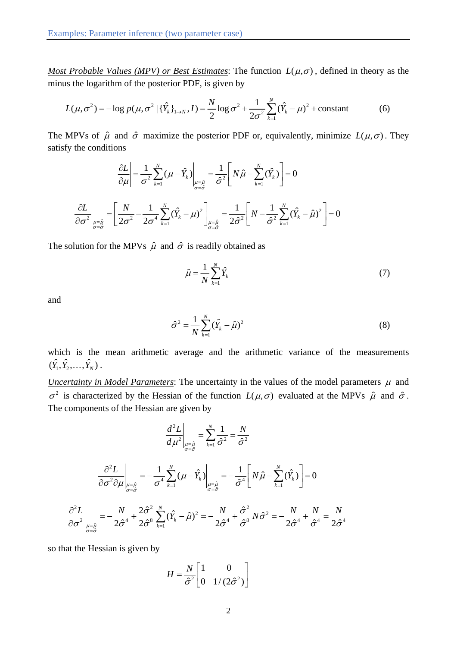*Most Probable Values (MPV) or Best Estimates:* The function  $L(\mu, \sigma)$ , defined in theory as the minus the logarithm of the posterior PDF, is given by

$$
L(\mu, \sigma^2) = -\log p(\mu, \sigma^2 | {\{\hat{Y}_k\}}_{1 \to N}, I) = \frac{N}{2} \log \sigma^2 + \frac{1}{2\sigma^2} \sum_{k=1}^{N} ({\hat{Y}_k} - \mu)^2 + \text{constant}
$$
 (6)

The MPVs of  $\hat{\mu}$  and  $\hat{\sigma}$  maximize the posterior PDF or, equivalently, minimize  $L(\mu, \sigma)$ . They satisfy the conditions

$$
\frac{\partial L}{\partial \mu} = \frac{1}{\sigma^2} \sum_{k=1}^{N} (\mu - \hat{Y}_k) \Big|_{\substack{\mu = \hat{\mu} \\ \sigma = \hat{\sigma}}} = \frac{1}{\hat{\sigma}^2} \Bigg[ N \hat{\mu} - \sum_{k=1}^{N} (\hat{Y}_k) \Bigg] = 0
$$

$$
\frac{\partial L}{\partial \sigma^2} \Big|_{\substack{\mu = \hat{\mu} \\ \sigma = \hat{\sigma}}} = \Bigg[ \frac{N}{2\sigma^2} - \frac{1}{2\sigma^4} \sum_{k=1}^{N} (\hat{Y}_k - \mu)^2 \Bigg]_{\substack{\mu = \hat{\mu} \\ \sigma = \hat{\sigma}}} = \frac{1}{2\hat{\sigma}^2} \Bigg[ N - \frac{1}{\hat{\sigma}^2} \sum_{k=1}^{N} (\hat{Y}_k - \hat{\mu})^2 \Bigg] = 0
$$

The solution for the MPVs  $\hat{\mu}$  and  $\hat{\sigma}$  is readily obtained as

$$
\hat{\mu} = \frac{1}{N} \sum_{k=1}^{N} \hat{Y}_k
$$
\n(7)

and

$$
\hat{\sigma}^2 = \frac{1}{N} \sum_{k=1}^{N} (\hat{Y}_k - \hat{\mu})^2
$$
 (8)

which is the mean arithmetic average and the arithmetic variance of the measurements  $(\hat{Y}_1, \hat{Y}_2, \ldots, \hat{Y}_N)$ .

*Uncertainty in Model Parameters*: The uncertainty in the values of the model parameters  $\mu$  and  $\sigma^2$  is characterized by the Hessian of the function  $L(\mu, \sigma)$  evaluated at the MPVs  $\hat{\mu}$  and  $\hat{\sigma}$ . The components of the Hessian are given by

$$
\left. \frac{d^2 L}{d \mu^2} \right|_{\substack{\mu = \hat{\mu} \\ \sigma = \hat{\sigma}}} = \sum_{k=1}^N \frac{1}{\hat{\sigma}^2} = \frac{N}{\hat{\sigma}^2}
$$

$$
\frac{\partial^2 L}{\partial \sigma^2 \partial \mu}\bigg|_{\substack{\mu=\hat{\mu}\\ \sigma=\hat{\sigma}}} = -\frac{1}{\sigma^4} \sum_{k=1}^N (\mu - \hat{Y}_k)\bigg|_{\substack{\mu=\hat{\mu}\\ \sigma=\hat{\sigma}}} = -\frac{1}{\hat{\sigma}^4} \bigg[ N \hat{\mu} - \sum_{k=1}^N (\hat{Y}_k) \bigg] = 0
$$

$$
\frac{\partial^2 L}{\partial \sigma^2}\Big|_{\substack{\mu=\hat{\mu} \\ \sigma=\hat{\sigma}}} = -\frac{N}{2\hat{\sigma}^4} + \frac{2\hat{\sigma}^2}{2\hat{\sigma}^8} \sum_{k=1}^N (\hat{Y}_k - \hat{\mu})^2 = -\frac{N}{2\hat{\sigma}^4} + \frac{\hat{\sigma}^2}{\hat{\sigma}^8} N\hat{\sigma}^2 = -\frac{N}{2\hat{\sigma}^4} + \frac{N}{\hat{\sigma}^4} = \frac{N}{2\hat{\sigma}^4}
$$

so that the Hessian is given by

$$
H = \frac{N}{\hat{\sigma}^2} \begin{bmatrix} 1 & 0 \\ 0 & 1/(2\hat{\sigma}^2) \end{bmatrix}
$$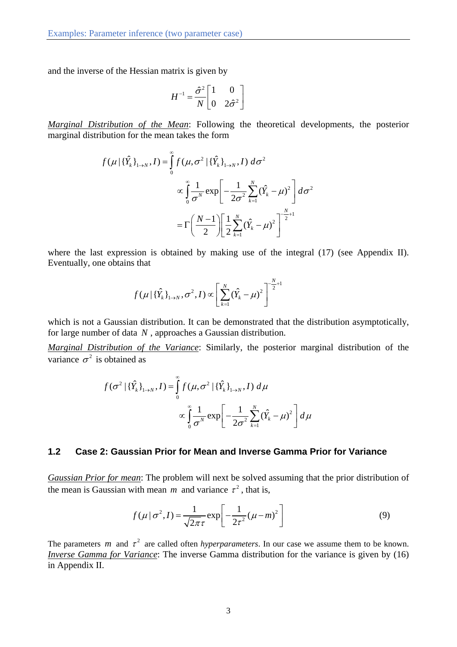and the inverse of the Hessian matrix is given by

$$
H^{-1} = \frac{\hat{\sigma}^2}{N} \begin{bmatrix} 1 & 0 \\ 0 & 2\hat{\sigma}^2 \end{bmatrix}
$$

*Marginal Distribution of the Mean*: Following the theoretical developments, the posterior marginal distribution for the mean takes the form

$$
f(\mu | {\{\hat{Y}_{k}\}}_{1\to N}, I) = \int_{0}^{\infty} f(\mu, \sigma^{2} | {\{\hat{Y}_{k}\}}_{1\to N}, I) d\sigma^{2}
$$

$$
\propto \int_{0}^{\infty} \frac{1}{\sigma^{N}} \exp \left[ -\frac{1}{2\sigma^{2}} \sum_{k=1}^{N} (\hat{Y}_{k} - \mu)^{2} \right] d\sigma^{2}
$$

$$
= \Gamma \left( \frac{N-1}{2} \right) \left[ \frac{1}{2} \sum_{k=1}^{N} (\hat{Y}_{k} - \mu)^{2} \right]^{-\frac{N}{2}+1}
$$

where the last expression is obtained by making use of the integral (17) (see Appendix II). Eventually, one obtains that

$$
f(\mu | {\{\hat{Y}_k\}}_{1\to N}, \sigma^2, I) \propto \left[ \sum_{k=1}^N (\hat{Y}_k - \mu)^2 \right]^{-\frac{N}{2}+1}
$$

which is not a Gaussian distribution. It can be demonstrated that the distribution asymptotically, for large number of data *N* , approaches a Gaussian distribution.

*Marginal Distribution of the Variance*: Similarly, the posterior marginal distribution of the variance  $\sigma^2$  is obtained as

$$
f(\sigma^2 | {\{\hat{Y}_k\}}_{1 \to N}, I) = \int_0^{\infty} f(\mu, \sigma^2 | {\{\hat{Y}_k\}}_{1 \to N}, I) d\mu
$$

$$
\propto \int_0^{\infty} \frac{1}{\sigma^N} \exp \left[ -\frac{1}{2\sigma^2} \sum_{k=1}^N {(\hat{Y}_k - \mu)^2} \right] d\mu
$$

## **1.2 Case 2: Gaussian Prior for Mean and Inverse Gamma Prior for Variance**

*Gaussian Prior for mean*: The problem will next be solved assuming that the prior distribution of the mean is Gaussian with mean *m* and variance  $\tau^2$ , that is,

$$
f(\mu \mid \sigma^2, I) = \frac{1}{\sqrt{2\pi}\tau} \exp\left[-\frac{1}{2\tau^2}(\mu - m)^2\right]
$$
(9)

The parameters *m* and  $\tau^2$  are called often *hyperparameters*. In our case we assume them to be known. *Inverse Gamma for Variance*: The inverse Gamma distribution for the variance is given by (16) in Appendix II.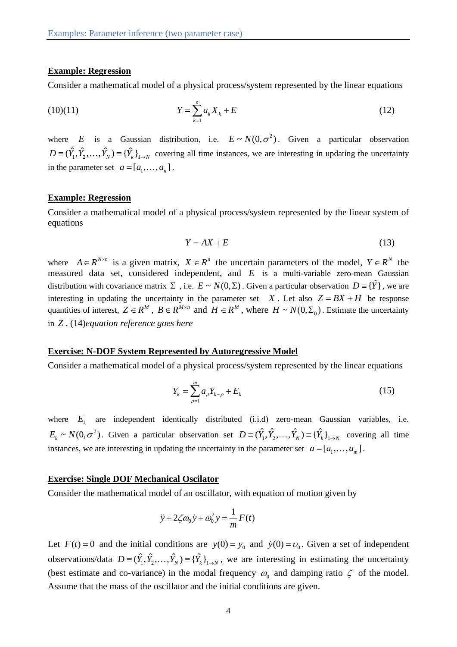## **Example: Regression**

Consider a mathematical model of a physical process/system represented by the linear equations

$$
(10)(11) \t\t Y = \sum_{k=1}^{n} a_k X_k + E \t\t (12)
$$

where *E* is a Gaussian distribution, i.e.  $E \sim N(0, \sigma^2)$ . Given a particular observation  $D = (\hat{Y}_1, \hat{Y}_2, \dots, \hat{Y}_N) = {\hat{Y}_k}_{1 \to N}$  covering all time instances, we are interesting in updating the uncertainty in the parameter set  $a = [a_1, \ldots, a_n]$ .

## **Example: Regression**

Consider a mathematical model of a physical process/system represented by the linear system of equations

$$
Y = AX + E \tag{13}
$$

where  $A \in \mathbb{R}^{N \times n}$  is a given matrix,  $X \in \mathbb{R}^n$  the uncertain parameters of the model,  $Y \in \mathbb{R}^N$  the measured data set, considered independent, and *E* is a multi-variable zero-mean Gaussian distribution with covariance matrix  $\Sigma$ , i.e.  $E \sim N(0, \Sigma)$ . Given a particular observation  $D = \{ \hat{Y} \}$ , we are interesting in updating the uncertainty in the parameter set  $\bar{X}$ . Let also  $\bar{Z} = \bar{B}X + H$  be response quantities of interest,  $Z \in \mathbb{R}^M$ ,  $B \in \mathbb{R}^{M \times n}$  and  $H \in \mathbb{R}^M$ , where  $H \sim N(0, \Sigma_0)$ . Estimate the uncertainty in *Z* . (14)*equation reference goes here*

#### **Exercise: N-DOF System Represented by Autoregressive Model**

Consider a mathematical model of a physical process/system represented by the linear equations

$$
Y_k = \sum_{\rho=1}^{m} a_{\rho} Y_{k-\rho} + E_k
$$
 (15)

where  $E_k$  are independent identically distributed (i.i.d) zero-mean Gaussian variables, i.e.  $E_k \sim N(0, \sigma^2)$ . Given a particular observation set  $D = (\hat{Y}_1, \hat{Y}_2, \dots, \hat{Y}_N) = {\{\hat{Y}_k\}}_{1 \to N}$  covering all time instances, we are interesting in updating the uncertainty in the parameter set  $a = [a_1, \ldots, a_m]$ .

#### **Exercise: Single DOF Mechanical Oscilator**

Consider the mathematical model of an oscillator, with equation of motion given by

$$
\ddot{y} + 2\zeta \omega_0 \dot{y} + \omega_0^2 y = \frac{1}{m} F(t)
$$

Let  $F(t) = 0$  and the initial conditions are  $y(0) = y_0$  and  $\dot{y}(0) = v_0$ . Given a set of independent observations/data  $D = (\hat{Y}_1, \hat{Y}_2, ..., \hat{Y}_N) = {\hat{Y}_k}_{1 \to N}$ , we are interesting in estimating the uncertainty (best estimate and co-variance) in the modal frequency  $\omega_0$  and damping ratio  $\zeta$  of the model. Assume that the mass of the oscillator and the initial conditions are given.